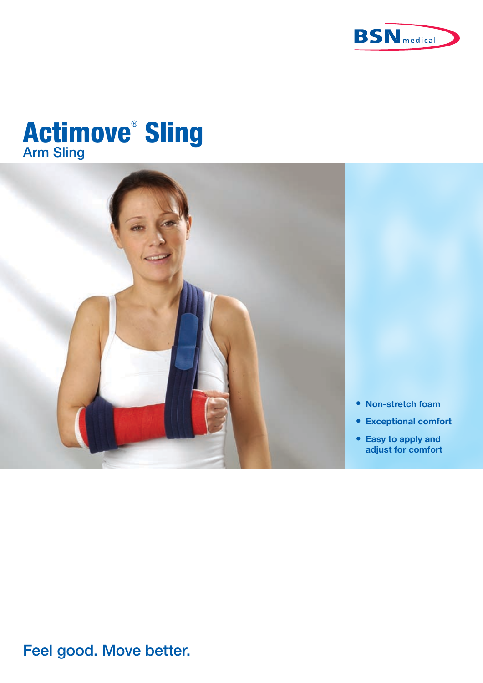

# **Actimove<sup>®</sup> Sling**



- **Non-stretch foam**
- **Exceptional comfort**
- **Easy to apply and adjust for comfort**

## Feel good. Move better.